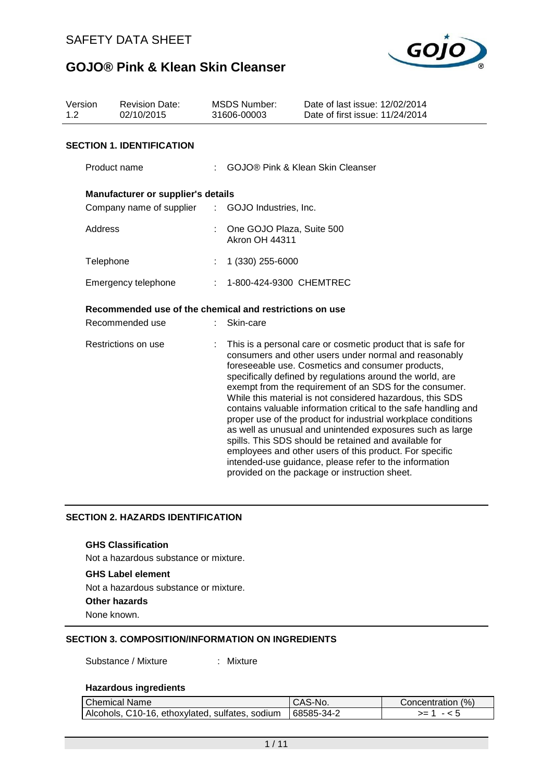

| Version<br><b>Revision Date:</b><br>1.2<br>02/10/2015 |                                                         | <b>MSDS Number:</b><br>31606-00003 | Date of last issue: 12/02/2014<br>Date of first issue: 11/24/2014                                                                                                                                                                                                                                                                                                                                                                                                                                                                                                                                                                                                                                                                                                                               |  |  |  |
|-------------------------------------------------------|---------------------------------------------------------|------------------------------------|-------------------------------------------------------------------------------------------------------------------------------------------------------------------------------------------------------------------------------------------------------------------------------------------------------------------------------------------------------------------------------------------------------------------------------------------------------------------------------------------------------------------------------------------------------------------------------------------------------------------------------------------------------------------------------------------------------------------------------------------------------------------------------------------------|--|--|--|
|                                                       | <b>SECTION 1. IDENTIFICATION</b>                        |                                    |                                                                                                                                                                                                                                                                                                                                                                                                                                                                                                                                                                                                                                                                                                                                                                                                 |  |  |  |
|                                                       | Product name                                            |                                    | <b>GOJO® Pink &amp; Klean Skin Cleanser</b>                                                                                                                                                                                                                                                                                                                                                                                                                                                                                                                                                                                                                                                                                                                                                     |  |  |  |
|                                                       | Manufacturer or supplier's details                      |                                    |                                                                                                                                                                                                                                                                                                                                                                                                                                                                                                                                                                                                                                                                                                                                                                                                 |  |  |  |
|                                                       | Company name of supplier : GOJO Industries, Inc.        |                                    |                                                                                                                                                                                                                                                                                                                                                                                                                                                                                                                                                                                                                                                                                                                                                                                                 |  |  |  |
| Address                                               |                                                         |                                    | One GOJO Plaza, Suite 500<br><b>Akron OH 44311</b>                                                                                                                                                                                                                                                                                                                                                                                                                                                                                                                                                                                                                                                                                                                                              |  |  |  |
|                                                       | Telephone                                               | 1 (330) 255-6000                   |                                                                                                                                                                                                                                                                                                                                                                                                                                                                                                                                                                                                                                                                                                                                                                                                 |  |  |  |
| Emergency telephone                                   |                                                         |                                    | : 1-800-424-9300 CHEMTREC                                                                                                                                                                                                                                                                                                                                                                                                                                                                                                                                                                                                                                                                                                                                                                       |  |  |  |
|                                                       | Recommended use of the chemical and restrictions on use |                                    |                                                                                                                                                                                                                                                                                                                                                                                                                                                                                                                                                                                                                                                                                                                                                                                                 |  |  |  |
|                                                       | Recommended use                                         | Skin-care                          |                                                                                                                                                                                                                                                                                                                                                                                                                                                                                                                                                                                                                                                                                                                                                                                                 |  |  |  |
|                                                       | Restrictions on use                                     |                                    | This is a personal care or cosmetic product that is safe for<br>consumers and other users under normal and reasonably<br>foreseeable use. Cosmetics and consumer products,<br>specifically defined by regulations around the world, are<br>exempt from the requirement of an SDS for the consumer.<br>While this material is not considered hazardous, this SDS<br>contains valuable information critical to the safe handling and<br>proper use of the product for industrial workplace conditions<br>as well as unusual and unintended exposures such as large<br>spills. This SDS should be retained and available for<br>employees and other users of this product. For specific<br>intended-use guidance, please refer to the information<br>provided on the package or instruction sheet. |  |  |  |

#### **SECTION 2. HAZARDS IDENTIFICATION**

#### **GHS Classification**

Not a hazardous substance or mixture.

#### **GHS Label element**

Not a hazardous substance or mixture.

**Other hazards**

None known.

#### **SECTION 3. COMPOSITION/INFORMATION ON INGREDIENTS**

Substance / Mixture : Mixture

#### **Hazardous ingredients**

| Chemical Name                                                | CAS-No. | Concentration (%) |
|--------------------------------------------------------------|---------|-------------------|
| Alcohols, C10-16, ethoxylated, sulfates, sodium   68585-34-2 |         | >= 1<br>- < 5     |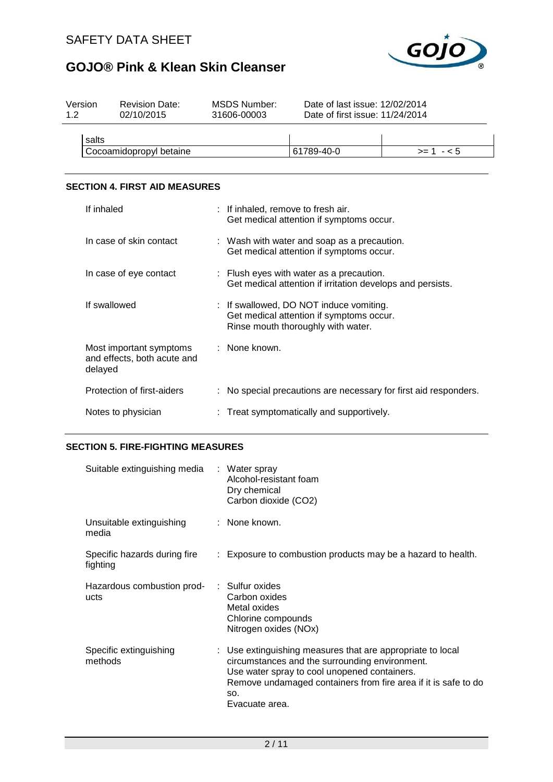

| Version<br>12 | <b>Revision Date:</b><br>02/10/2015 | MSDS Number:<br>31606-00003 | Date of last issue: 12/02/2014<br>Date of first issue: 11/24/2014 |            |
|---------------|-------------------------------------|-----------------------------|-------------------------------------------------------------------|------------|
| salts         |                                     |                             |                                                                   |            |
|               |                                     |                             |                                                                   | $>= 1 - 5$ |
|               | Cocoamidopropyl betaine             |                             | 61789-40-0                                                        |            |

#### **SECTION 4. FIRST AID MEASURES**

| If inhaled                                                        | : If inhaled, remove to fresh air.<br>Get medical attention if symptoms occur.                                            |
|-------------------------------------------------------------------|---------------------------------------------------------------------------------------------------------------------------|
| In case of skin contact                                           | : Wash with water and soap as a precaution.<br>Get medical attention if symptoms occur.                                   |
| In case of eye contact                                            | : Flush eyes with water as a precaution.<br>Get medical attention if irritation develops and persists.                    |
| If swallowed                                                      | : If swallowed, DO NOT induce vomiting.<br>Get medical attention if symptoms occur.<br>Rinse mouth thoroughly with water. |
| Most important symptoms<br>and effects, both acute and<br>delayed | : None known.                                                                                                             |
| Protection of first-aiders                                        | : No special precautions are necessary for first aid responders.                                                          |
| Notes to physician                                                | : Treat symptomatically and supportively.                                                                                 |

#### **SECTION 5. FIRE-FIGHTING MEASURES**

| Suitable extinguishing media : Water spray | Alcohol-resistant foam<br>Dry chemical<br>Carbon dioxide (CO2)                                                                                                                                                                                          |
|--------------------------------------------|---------------------------------------------------------------------------------------------------------------------------------------------------------------------------------------------------------------------------------------------------------|
| Unsuitable extinguishing<br>media          | : None known.                                                                                                                                                                                                                                           |
| Specific hazards during fire<br>fighting   | : Exposure to combustion products may be a hazard to health.                                                                                                                                                                                            |
| Hazardous combustion prod-<br>ucts         | : Sulfur oxides<br>Carbon oxides<br>Metal oxides<br>Chlorine compounds<br>Nitrogen oxides (NOx)                                                                                                                                                         |
| Specific extinguishing<br>methods          | : Use extinguishing measures that are appropriate to local<br>circumstances and the surrounding environment.<br>Use water spray to cool unopened containers.<br>Remove undamaged containers from fire area if it is safe to do<br>SO.<br>Evacuate area. |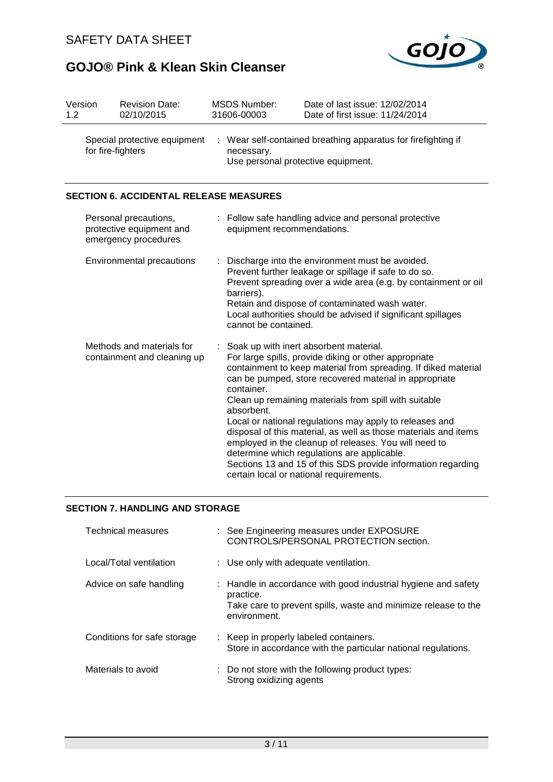

| Version<br>1.2                                    |  | <b>Revision Date:</b><br>02/10/2015                                       |                                                  | <b>MSDS Number:</b><br>31606-00003                          | Date of last issue: 12/02/2014<br>Date of first issue: 11/24/2014                                                                                                                                                                                                                                                                                                                                                                                                                                                                                                                                                                     |
|---------------------------------------------------|--|---------------------------------------------------------------------------|--------------------------------------------------|-------------------------------------------------------------|---------------------------------------------------------------------------------------------------------------------------------------------------------------------------------------------------------------------------------------------------------------------------------------------------------------------------------------------------------------------------------------------------------------------------------------------------------------------------------------------------------------------------------------------------------------------------------------------------------------------------------------|
| Special protective equipment<br>for fire-fighters |  | ÷                                                                         | necessary.<br>Use personal protective equipment. | Wear self-contained breathing apparatus for firefighting if |                                                                                                                                                                                                                                                                                                                                                                                                                                                                                                                                                                                                                                       |
|                                                   |  | <b>SECTION 6. ACCIDENTAL RELEASE MEASURES</b>                             |                                                  |                                                             |                                                                                                                                                                                                                                                                                                                                                                                                                                                                                                                                                                                                                                       |
|                                                   |  | Personal precautions,<br>protective equipment and<br>emergency procedures |                                                  | equipment recommendations.                                  | : Follow safe handling advice and personal protective                                                                                                                                                                                                                                                                                                                                                                                                                                                                                                                                                                                 |
|                                                   |  | Environmental precautions                                                 |                                                  | barriers).<br>cannot be contained.                          | Discharge into the environment must be avoided.<br>Prevent further leakage or spillage if safe to do so.<br>Prevent spreading over a wide area (e.g. by containment or oil<br>Retain and dispose of contaminated wash water.<br>Local authorities should be advised if significant spillages                                                                                                                                                                                                                                                                                                                                          |
|                                                   |  | Methods and materials for<br>containment and cleaning up                  | ÷                                                | container.<br>absorbent.                                    | Soak up with inert absorbent material.<br>For large spills, provide diking or other appropriate<br>containment to keep material from spreading. If diked material<br>can be pumped, store recovered material in appropriate<br>Clean up remaining materials from spill with suitable<br>Local or national regulations may apply to releases and<br>disposal of this material, as well as those materials and items<br>employed in the cleanup of releases. You will need to<br>determine which regulations are applicable.<br>Sections 13 and 15 of this SDS provide information regarding<br>certain local or national requirements. |

#### **SECTION 7. HANDLING AND STORAGE**

| <b>Technical measures</b>   | : See Engineering measures under EXPOSURE<br>CONTROLS/PERSONAL PROTECTION section.                                                                            |
|-----------------------------|---------------------------------------------------------------------------------------------------------------------------------------------------------------|
| Local/Total ventilation     | : Use only with adequate ventilation.                                                                                                                         |
| Advice on safe handling     | : Handle in accordance with good industrial hygiene and safety<br>practice.<br>Take care to prevent spills, waste and minimize release to the<br>environment. |
| Conditions for safe storage | : Keep in properly labeled containers.<br>Store in accordance with the particular national regulations.                                                       |
| Materials to avoid          | : Do not store with the following product types:<br>Strong oxidizing agents                                                                                   |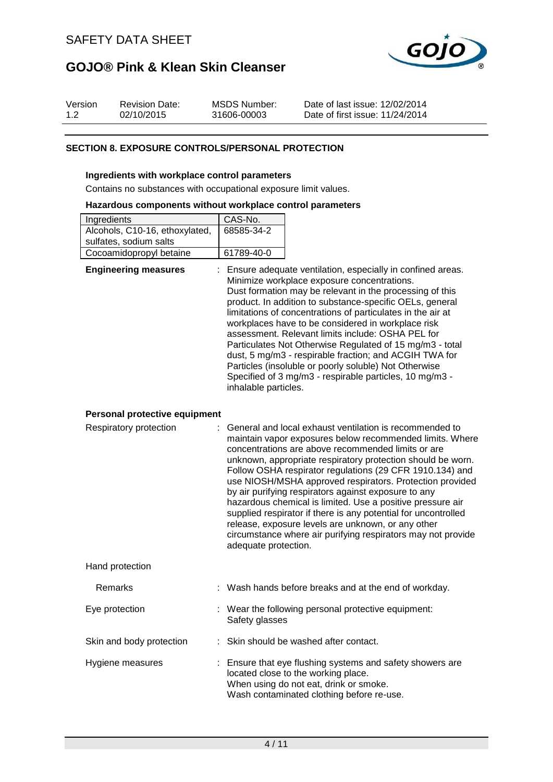

| Version | <b>Revision Date:</b> | MSDS Number: | Date of last issue: 12/02/2014  |
|---------|-----------------------|--------------|---------------------------------|
| 1.2     | 02/10/2015            | 31606-00003  | Date of first issue: 11/24/2014 |

#### **SECTION 8. EXPOSURE CONTROLS/PERSONAL PROTECTION**

#### **Ingredients with workplace control parameters**

Contains no substances with occupational exposure limit values.

#### **Hazardous components without workplace control parameters**

| Ingredients                    | CAS-No.    |
|--------------------------------|------------|
| Alcohols, C10-16, ethoxylated, | 68585-34-2 |
| sulfates, sodium salts         |            |
| Cocoamidopropyl betaine        | 61789-40-0 |

| <b>Engineering measures</b>   | : Ensure adequate ventilation, especially in confined areas.<br>Minimize workplace exposure concentrations.<br>Dust formation may be relevant in the processing of this<br>product. In addition to substance-specific OELs, general<br>limitations of concentrations of particulates in the air at<br>workplaces have to be considered in workplace risk<br>assessment. Relevant limits include: OSHA PEL for<br>Particulates Not Otherwise Regulated of 15 mg/m3 - total<br>dust, 5 mg/m3 - respirable fraction; and ACGIH TWA for<br>Particles (insoluble or poorly soluble) Not Otherwise<br>Specified of 3 mg/m3 - respirable particles, 10 mg/m3 -<br>inhalable particles. |
|-------------------------------|---------------------------------------------------------------------------------------------------------------------------------------------------------------------------------------------------------------------------------------------------------------------------------------------------------------------------------------------------------------------------------------------------------------------------------------------------------------------------------------------------------------------------------------------------------------------------------------------------------------------------------------------------------------------------------|
|                               |                                                                                                                                                                                                                                                                                                                                                                                                                                                                                                                                                                                                                                                                                 |
| Personal protective equipment |                                                                                                                                                                                                                                                                                                                                                                                                                                                                                                                                                                                                                                                                                 |
| Respiratory protection        | : General and local exhaust ventilation is recommended to<br>maintain vapor exposures below recommended limits. Where<br>concentrations are above recommended limits or are<br>unknown, appropriate respiratory protection should be worn.<br>Follow OSHA respirator regulations (29 CFR 1910.134) and<br>use NIOSH/MSHA approved respirators. Protection provided                                                                                                                                                                                                                                                                                                              |

| PUIJUW OSHA TESPITAJUI TEGUIALIOTIS (29 CFR 1910.134) AND      |
|----------------------------------------------------------------|
| use NIOSH/MSHA approved respirators. Protection provided       |
| by air purifying respirators against exposure to any           |
| hazardous chemical is limited. Use a positive pressure air     |
| supplied respirator if there is any potential for uncontrolled |
| release, exposure levels are unknown, or any other             |
| circumstance where air purifying respirators may not provide   |
| adequate protection.                                           |
|                                                                |

Hand protection

| Remarks                  | : Wash hands before breaks and at the end of workday.                                                                                                                                   |
|--------------------------|-----------------------------------------------------------------------------------------------------------------------------------------------------------------------------------------|
| Eye protection           | : Wear the following personal protective equipment:<br>Safety glasses                                                                                                                   |
| Skin and body protection | : Skin should be washed after contact.                                                                                                                                                  |
| Hygiene measures         | : Ensure that eye flushing systems and safety showers are<br>located close to the working place.<br>When using do not eat, drink or smoke.<br>Wash contaminated clothing before re-use. |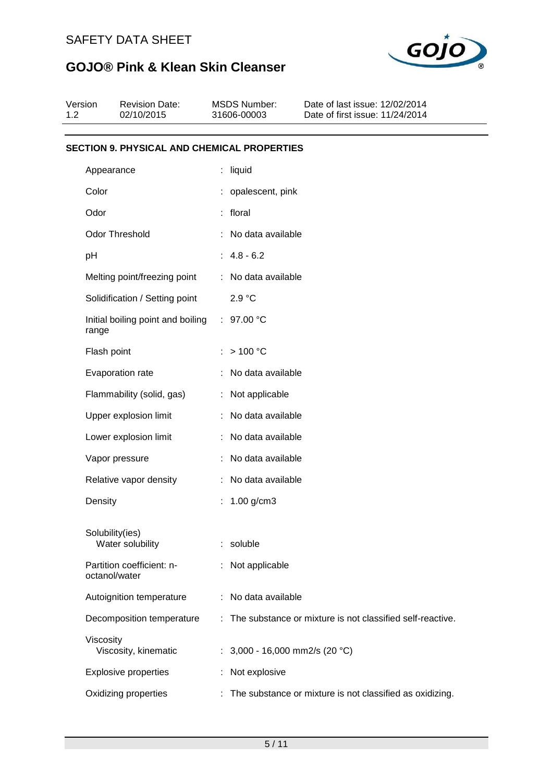

| Version<br>1.2 | <b>Revision Date:</b><br>02/10/2015                |    | <b>MSDS Number:</b><br>31606-00003 | Date of last issue: 12/02/2014<br>Date of first issue: 11/24/2014 |
|----------------|----------------------------------------------------|----|------------------------------------|-------------------------------------------------------------------|
|                | <b>SECTION 9. PHYSICAL AND CHEMICAL PROPERTIES</b> |    |                                    |                                                                   |
|                | Appearance                                         |    | : liquid                           |                                                                   |
| Color          |                                                    |    | : opalescent, pink                 |                                                                   |
| Odor           |                                                    |    | : floral                           |                                                                   |
|                | Odor Threshold                                     |    | : No data available                |                                                                   |
| pH             |                                                    |    | $: 4.8 - 6.2$                      |                                                                   |
|                | Melting point/freezing point                       |    | : No data available                |                                                                   |
|                | Solidification / Setting point                     |    | 2.9 °C                             |                                                                   |
| range          | Initial boiling point and boiling                  |    | : $97.00 °C$                       |                                                                   |
|                | Flash point                                        |    | >100 °C                            |                                                                   |
|                | Evaporation rate                                   |    | : No data available                |                                                                   |
|                | Flammability (solid, gas)                          |    | : Not applicable                   |                                                                   |
|                | Upper explosion limit                              |    | : No data available                |                                                                   |
|                | Lower explosion limit                              |    | : No data available                |                                                                   |
|                | Vapor pressure                                     |    | No data available                  |                                                                   |
|                | Relative vapor density                             |    | No data available                  |                                                                   |
| Density        |                                                    | t. | $1.00$ g/cm $3$                    |                                                                   |
|                | Solubility(ies)<br>Water solubility                | t. | soluble                            |                                                                   |
|                | Partition coefficient: n-<br>octanol/water         | t. | Not applicable                     |                                                                   |
|                | Autoignition temperature                           |    | No data available                  |                                                                   |
|                | Decomposition temperature                          |    |                                    | The substance or mixture is not classified self-reactive.         |
| Viscosity      | Viscosity, kinematic                               |    | : $3,000 - 16,000$ mm2/s (20 °C)   |                                                                   |
|                | <b>Explosive properties</b>                        |    | Not explosive                      |                                                                   |
|                | Oxidizing properties                               | ÷. |                                    | The substance or mixture is not classified as oxidizing.          |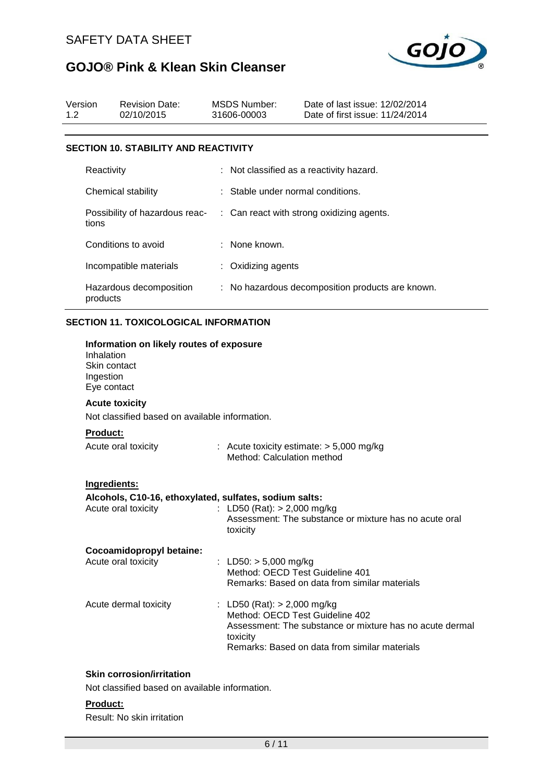

| Version<br>1.2 |                                                        | <b>Revision Date:</b><br>02/10/2015                                                                                 | <b>MSDS Number:</b><br>31606-00003                                           | Date of last issue: 12/02/2014<br>Date of first issue: 11/24/2014                                         |
|----------------|--------------------------------------------------------|---------------------------------------------------------------------------------------------------------------------|------------------------------------------------------------------------------|-----------------------------------------------------------------------------------------------------------|
|                |                                                        | <b>SECTION 10. STABILITY AND REACTIVITY</b>                                                                         |                                                                              |                                                                                                           |
|                | Reactivity                                             |                                                                                                                     |                                                                              | : Not classified as a reactivity hazard.                                                                  |
|                |                                                        | Chemical stability                                                                                                  | Stable under normal conditions.                                              |                                                                                                           |
|                | tions                                                  | Possibility of hazardous reac-                                                                                      |                                                                              | : Can react with strong oxidizing agents.                                                                 |
|                |                                                        | Conditions to avoid                                                                                                 | : None known.                                                                |                                                                                                           |
|                |                                                        | Incompatible materials                                                                                              | : Oxidizing agents                                                           |                                                                                                           |
|                | products                                               | Hazardous decomposition                                                                                             |                                                                              | : No hazardous decomposition products are known.                                                          |
|                |                                                        | <b>SECTION 11. TOXICOLOGICAL INFORMATION</b>                                                                        |                                                                              |                                                                                                           |
|                | Inhalation<br>Skin contact<br>Ingestion<br>Eye contact | Information on likely routes of exposure<br><b>Acute toxicity</b><br>Not classified based on available information. |                                                                              |                                                                                                           |
|                | <b>Product:</b>                                        |                                                                                                                     |                                                                              |                                                                                                           |
|                |                                                        | Acute oral toxicity                                                                                                 | Method: Calculation method                                                   | : Acute toxicity estimate: $> 5,000$ mg/kg                                                                |
|                | Ingredients:                                           | Alcohols, C10-16, ethoxylated, sulfates, sodium salts:<br>Acute oral toxicity<br>Cocoamidopropyl betaine:           | LD50 (Rat): > 2,000 mg/kg<br>toxicity                                        | Assessment: The substance or mixture has no acute oral                                                    |
|                |                                                        | Acute oral toxicity                                                                                                 | : LD50: $> 5,000$ mg/kg<br>Method: OECD Test Guideline 401                   | Remarks: Based on data from similar materials                                                             |
|                |                                                        | Acute dermal toxicity                                                                                               | : LD50 (Rat): $> 2,000$ mg/kg<br>Method: OECD Test Guideline 402<br>toxicity | Assessment: The substance or mixture has no acute dermal<br>Remarks: Based on data from similar materials |
|                |                                                        | <b>Skin corrosion/irritation</b>                                                                                    |                                                                              |                                                                                                           |

Not classified based on available information.

#### **Product:**

Result: No skin irritation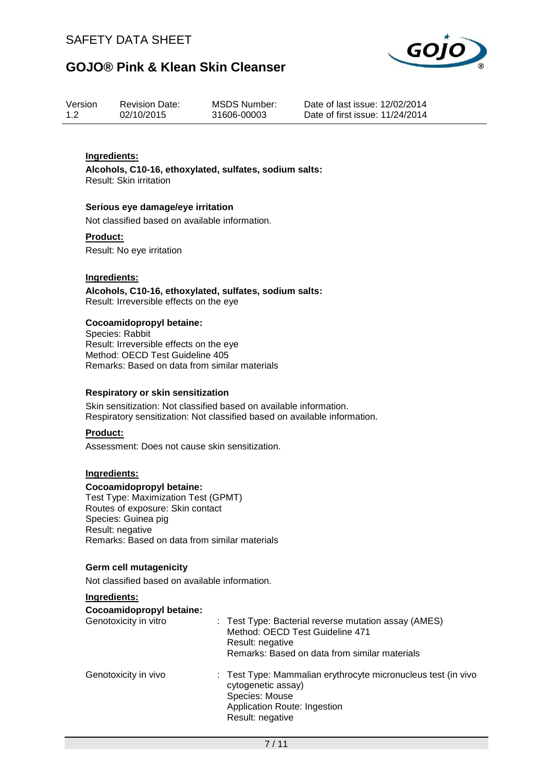

| Version | <b>Revision Date:</b> | MSDS Number: |
|---------|-----------------------|--------------|
| 1.2     | 02/10/2015            | 31606-00003  |

Date of last issue: 12/02/2014 Date of first issue: 11/24/2014

#### **Ingredients:**

**Alcohols, C10-16, ethoxylated, sulfates, sodium salts:** Result: Skin irritation

#### **Serious eye damage/eye irritation**

Not classified based on available information.

#### **Product:**

Result: No eye irritation

#### **Ingredients:**

**Alcohols, C10-16, ethoxylated, sulfates, sodium salts:** Result: Irreversible effects on the eye

#### **Cocoamidopropyl betaine:**

Species: Rabbit Result: Irreversible effects on the eye Method: OECD Test Guideline 405 Remarks: Based on data from similar materials

#### **Respiratory or skin sensitization**

Skin sensitization: Not classified based on available information. Respiratory sensitization: Not classified based on available information.

#### **Product:**

Assessment: Does not cause skin sensitization.

#### **Ingredients:**

#### **Cocoamidopropyl betaine:**

Test Type: Maximization Test (GPMT) Routes of exposure: Skin contact Species: Guinea pig Result: negative Remarks: Based on data from similar materials

#### **Germ cell mutagenicity**

Not classified based on available information.

#### **Ingredients:**

#### **Cocoamidopropyl betaine:**

| Genotoxicity in vitro | : Test Type: Bacterial reverse mutation assay (AMES)<br>Method: OECD Test Guideline 471<br>Result: negative<br>Remarks: Based on data from similar materials |
|-----------------------|--------------------------------------------------------------------------------------------------------------------------------------------------------------|
| Genotoxicity in vivo  | : Test Type: Mammalian erythrocyte micronucleus test (in vivo<br>cytogenetic assay)<br>Species: Mouse<br>Application Route: Ingestion<br>Result: negative    |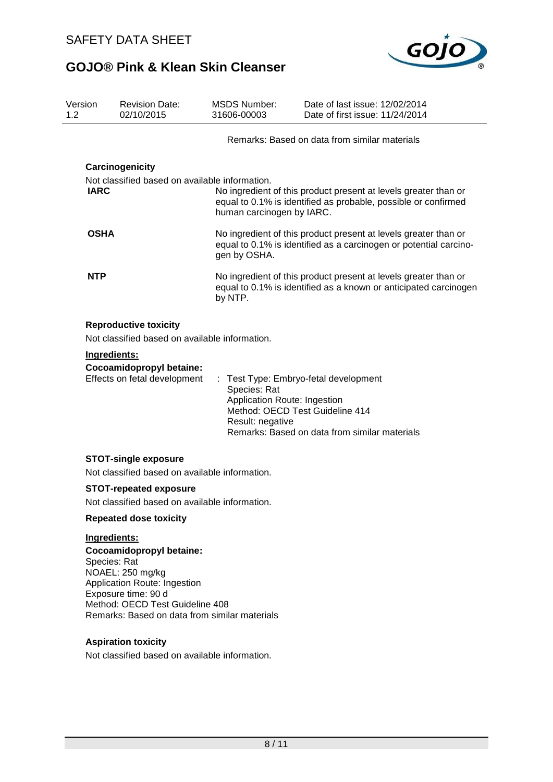

| Version<br>1.2 |                                                                                                                                                                     | <b>Revision Date:</b><br>02/10/2015                                                                                                                                                     | <b>MSDS Number:</b><br>31606-00003 |  | Date of last issue: 12/02/2014<br>Date of first issue: 11/24/2014                                                                                         |
|----------------|---------------------------------------------------------------------------------------------------------------------------------------------------------------------|-----------------------------------------------------------------------------------------------------------------------------------------------------------------------------------------|------------------------------------|--|-----------------------------------------------------------------------------------------------------------------------------------------------------------|
|                |                                                                                                                                                                     |                                                                                                                                                                                         |                                    |  | Remarks: Based on data from similar materials                                                                                                             |
|                |                                                                                                                                                                     | Carcinogenicity                                                                                                                                                                         |                                    |  |                                                                                                                                                           |
|                |                                                                                                                                                                     | Not classified based on available information.                                                                                                                                          |                                    |  |                                                                                                                                                           |
|                | <b>IARC</b>                                                                                                                                                         |                                                                                                                                                                                         | human carcinogen by IARC.          |  | No ingredient of this product present at levels greater than or<br>equal to 0.1% is identified as probable, possible or confirmed                         |
|                | <b>OSHA</b><br>No ingredient of this product present at levels greater than or<br>equal to 0.1% is identified as a carcinogen or potential carcino-<br>gen by OSHA. |                                                                                                                                                                                         |                                    |  |                                                                                                                                                           |
|                | <b>NTP</b>                                                                                                                                                          |                                                                                                                                                                                         | by NTP.                            |  | No ingredient of this product present at levels greater than or<br>equal to 0.1% is identified as a known or anticipated carcinogen                       |
|                | Ingredients:                                                                                                                                                        | <b>Reproductive toxicity</b><br>Not classified based on available information.<br>Cocoamidopropyl betaine:<br>Effects on fetal development                                              | Species: Rat<br>Result: negative   |  | : Test Type: Embryo-fetal development<br>Application Route: Ingestion<br>Method: OECD Test Guideline 414<br>Remarks: Based on data from similar materials |
|                |                                                                                                                                                                     | <b>STOT-single exposure</b>                                                                                                                                                             |                                    |  |                                                                                                                                                           |
|                |                                                                                                                                                                     | Not classified based on available information.                                                                                                                                          |                                    |  |                                                                                                                                                           |
|                | <b>STOT-repeated exposure</b>                                                                                                                                       |                                                                                                                                                                                         |                                    |  |                                                                                                                                                           |
|                | Not classified based on available information.                                                                                                                      |                                                                                                                                                                                         |                                    |  |                                                                                                                                                           |
|                | <b>Repeated dose toxicity</b>                                                                                                                                       |                                                                                                                                                                                         |                                    |  |                                                                                                                                                           |
|                | Ingredients:                                                                                                                                                        |                                                                                                                                                                                         |                                    |  |                                                                                                                                                           |
|                | Species: Rat                                                                                                                                                        | Cocoamidopropyl betaine:<br>NOAEL: 250 mg/kg<br>Application Route: Ingestion<br>Exposure time: 90 d<br>Method: OECD Test Guideline 408<br>Remarks: Based on data from similar materials |                                    |  |                                                                                                                                                           |

#### **Aspiration toxicity**

Not classified based on available information.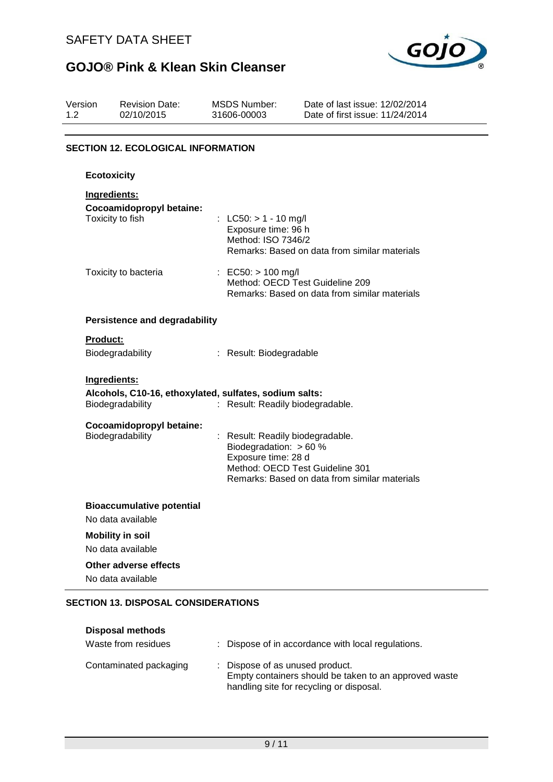

| Version<br>1.2 | <b>Revision Date:</b><br>02/10/2015                    | <b>MSDS Number:</b><br>31606-00003                                                | Date of last issue: 12/02/2014<br>Date of first issue: 11/24/2014                |
|----------------|--------------------------------------------------------|-----------------------------------------------------------------------------------|----------------------------------------------------------------------------------|
|                | <b>SECTION 12. ECOLOGICAL INFORMATION</b>              |                                                                                   |                                                                                  |
|                | <b>Ecotoxicity</b>                                     |                                                                                   |                                                                                  |
|                | Ingredients:                                           |                                                                                   |                                                                                  |
|                | Cocoamidopropyl betaine:<br>Toxicity to fish           | : LC50: $> 1 - 10$ mg/l<br>Exposure time: 96 h<br>Method: ISO 7346/2              | Remarks: Based on data from similar materials                                    |
|                | Toxicity to bacteria                                   | : EC50: $> 100$ mg/l                                                              | Method: OECD Test Guideline 209<br>Remarks: Based on data from similar materials |
|                | <b>Persistence and degradability</b>                   |                                                                                   |                                                                                  |
|                | <b>Product:</b>                                        |                                                                                   |                                                                                  |
|                | Biodegradability                                       | : Result: Biodegradable                                                           |                                                                                  |
|                | Ingredients:                                           |                                                                                   |                                                                                  |
|                | Alcohols, C10-16, ethoxylated, sulfates, sodium salts: |                                                                                   |                                                                                  |
|                | Biodegradability                                       | : Result: Readily biodegradable.                                                  |                                                                                  |
|                | Cocoamidopropyl betaine:<br>Biodegradability           | : Result: Readily biodegradable.<br>Biodegradation: > 60 %<br>Exposure time: 28 d | Method: OECD Test Guideline 301<br>Remarks: Based on data from similar materials |
|                | <b>Bioaccumulative potential</b>                       |                                                                                   |                                                                                  |
|                | No data available                                      |                                                                                   |                                                                                  |
|                | <b>Mobility in soil</b><br>No data available           |                                                                                   |                                                                                  |
|                | Other adverse effects<br>No data available             |                                                                                   |                                                                                  |

#### **SECTION 13. DISPOSAL CONSIDERATIONS**

| <b>Disposal methods</b><br>Waste from residues | : Dispose of in accordance with local regulations.                                                                                   |
|------------------------------------------------|--------------------------------------------------------------------------------------------------------------------------------------|
| Contaminated packaging                         | : Dispose of as unused product.<br>Empty containers should be taken to an approved waste<br>handling site for recycling or disposal. |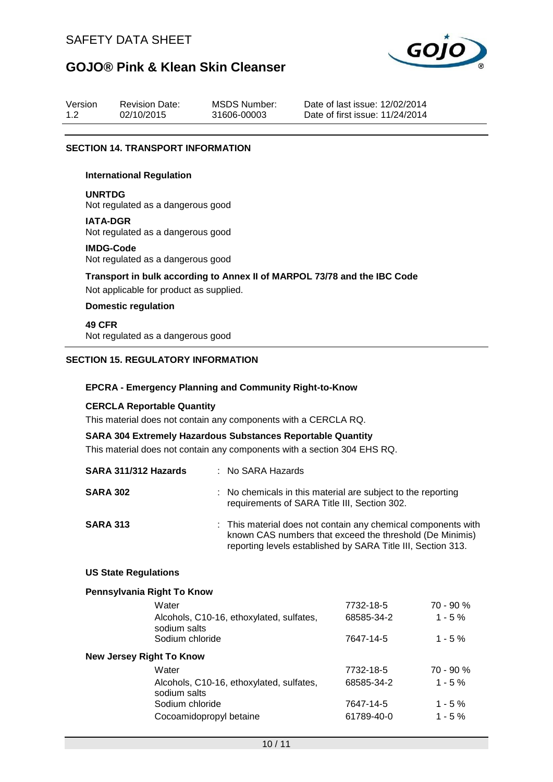

| Version | <b>Revision Date:</b> | MSDS Number: | Date of last issue: 12/02/2014  |
|---------|-----------------------|--------------|---------------------------------|
| 1.2     | 02/10/2015            | 31606-00003  | Date of first issue: 11/24/2014 |

#### **SECTION 14. TRANSPORT INFORMATION**

#### **International Regulation**

**UNRTDG**

Not regulated as a dangerous good

**IATA-DGR** Not regulated as a dangerous good

#### **IMDG-Code**

Not regulated as a dangerous good

**Transport in bulk according to Annex II of MARPOL 73/78 and the IBC Code** Not applicable for product as supplied.

#### **Domestic regulation**

**49 CFR** Not regulated as a dangerous good

#### **SECTION 15. REGULATORY INFORMATION**

#### **EPCRA - Emergency Planning and Community Right-to-Know**

#### **CERCLA Reportable Quantity**

This material does not contain any components with a CERCLA RQ.

#### **SARA 304 Extremely Hazardous Substances Reportable Quantity**

This material does not contain any components with a section 304 EHS RQ.

| SARA 311/312 Hazards | : No SARA Hazards                                                                                                                                                                         |
|----------------------|-------------------------------------------------------------------------------------------------------------------------------------------------------------------------------------------|
| <b>SARA 302</b>      | : No chemicals in this material are subject to the reporting<br>requirements of SARA Title III, Section 302.                                                                              |
| <b>SARA 313</b>      | : This material does not contain any chemical components with<br>known CAS numbers that exceed the threshold (De Minimis)<br>reporting levels established by SARA Title III, Section 313. |

#### **US State Regulations**

#### **Pennsylvania Right To Know**

| 7732-18-5  | 70 - 90 %   |
|------------|-------------|
| 68585-34-2 | $1 - 5%$    |
| 7647-14-5  | $1 - 5 \%$  |
|            |             |
| 7732-18-5  | $70 - 90 %$ |
| 68585-34-2 | $1 - 5%$    |
| 7647-14-5  | $1 - 5\%$   |
| 61789-40-0 | $1 - 5\%$   |
|            |             |